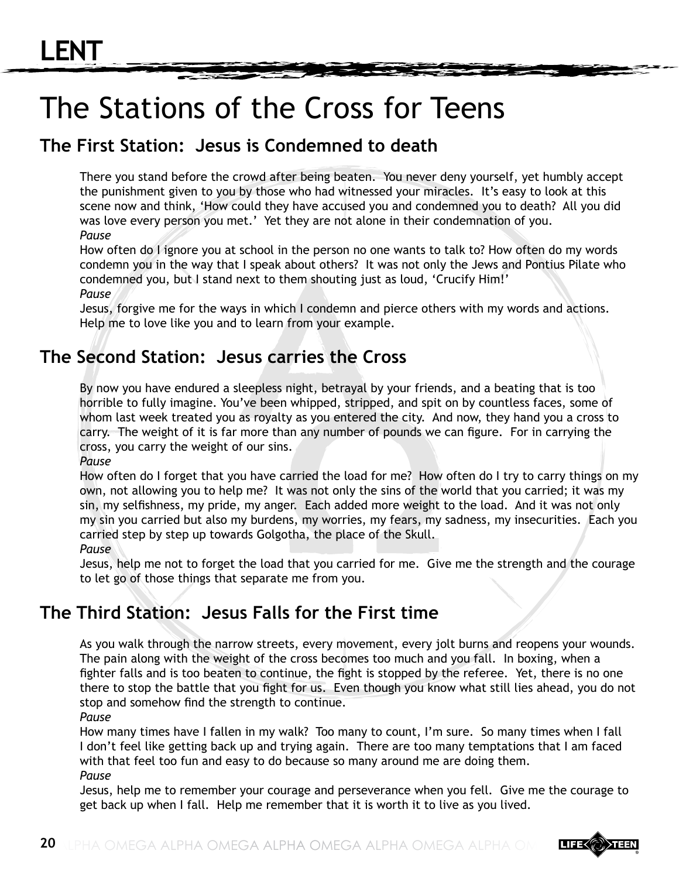# The Stations of the Cross for Teens

# **The First Station: Jesus is Condemned to death**

There you stand before the crowd after being beaten. You never deny yourself, yet humbly accept the punishment given to you by those who had witnessed your miracles. It's easy to look at this scene now and think, 'How could they have accused you and condemned you to death? All you did was love every person you met.' Yet they are not alone in their condemnation of you. *Pause*

How often do I ignore you at school in the person no one wants to talk to? How often do my words condemn you in the way that I speak about others? It was not only the Jews and Pontius Pilate who condemned you, but I stand next to them shouting just as loud, 'Crucify Him!' *Pause*

Jesus, forgive me for the ways in which I condemn and pierce others with my words and actions. Help me to love like you and to learn from your example.

# **The Second Station: Jesus carries the Cross**

By now you have endured a sleepless night, betrayal by your friends, and a beating that is too horrible to fully imagine. You've been whipped, stripped, and spit on by countless faces, some of whom last week treated you as royalty as you entered the city. And now, they hand you a cross to carry. The weight of it is far more than any number of pounds we can figure. For in carrying the cross, you carry the weight of our sins.

*Pause*

How often do I forget that you have carried the load for me? How often do I try to carry things on my own, not allowing you to help me? It was not only the sins of the world that you carried; it was my sin, my selfishness, my pride, my anger. Each added more weight to the load. And it was not only my sin you carried but also my burdens, my worries, my fears, my sadness, my insecurities. Each you carried step by step up towards Golgotha, the place of the Skull. *Pause*

Jesus, help me not to forget the load that you carried for me. Give me the strength and the courage to let go of those things that separate me from you.

# **The Third Station: Jesus Falls for the First time**

As you walk through the narrow streets, every movement, every jolt burns and reopens your wounds. The pain along with the weight of the cross becomes too much and you fall. In boxing, when a fighter falls and is too beaten to continue, the fight is stopped by the referee. Yet, there is no one there to stop the battle that you fight for us. Even though you know what still lies ahead, you do not stop and somehow find the strength to continue.

*Pause* 

How many times have I fallen in my walk? Too many to count, I'm sure. So many times when I fall I don't feel like getting back up and trying again. There are too many temptations that I am faced with that feel too fun and easy to do because so many around me are doing them. *Pause*

Jesus, help me to remember your courage and perseverance when you fell. Give me the courage to get back up when I fall. Help me remember that it is worth it to live as you lived.

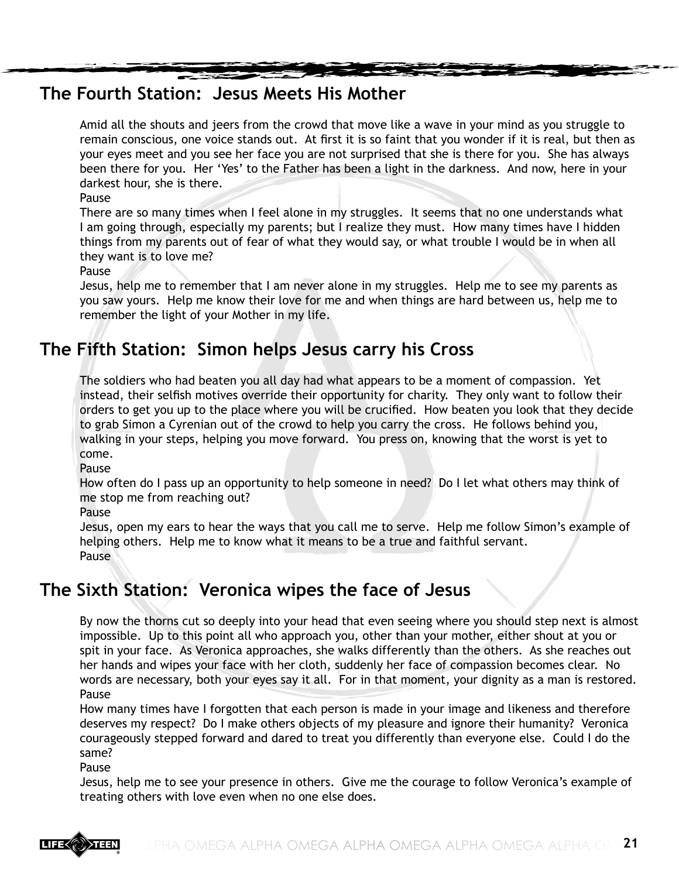## **The Fourth Station: Jesus Meets His Mother**

Amid all the shouts and jeers from the crowd that move like a wave in your mind as you struggle to remain conscious, one voice stands out. At first it is so faint that you wonder if it is real, but then as your eyes meet and you see her face you are not surprised that she is there for you. She has always been there for you. Her 'Yes' to the Father has been a light in the darkness. And now, here in your darkest hour, she is there.

Pause

There are so many times when I feel alone in my struggles. It seems that no one understands what I am going through, especially my parents; but I realize they must. How many times have I hidden things from my parents out of fear of what they would say, or what trouble I would be in when all they want is to love me?

Pause

Jesus, help me to remember that I am never alone in my struggles. Help me to see my parents as you saw yours. Help me know their love for me and when things are hard between us, help me to remember the light of your Mother in my life.

# **The Fifth Station: Simon helps Jesus carry his Cross**

The soldiers who had beaten you all day had what appears to be a moment of compassion. Yet instead, their selfish motives override their opportunity for charity. They only want to follow their orders to get you up to the place where you will be crucified. How beaten you look that they decide to grab Simon a Cyrenian out of the crowd to help you carry the cross. He follows behind you, walking in your steps, helping you move forward. You press on, knowing that the worst is yet to come.

Pause

How often do I pass up an opportunity to help someone in need? Do I let what others may think of me stop me from reaching out?

Pause

Jesus, open my ears to hear the ways that you call me to serve. Help me follow Simon's example of helping others. Help me to know what it means to be a true and faithful servant. **Pause** 

# **The Sixth Station: Veronica wipes the face of Jesus**

By now the thorns cut so deeply into your head that even seeing where you should step next is almost impossible. Up to this point all who approach you, other than your mother, either shout at you or spit in your face. As Veronica approaches, she walks differently than the others. As she reaches out her hands and wipes your face with her cloth, suddenly her face of compassion becomes clear. No words are necessary, both your eyes say it all. For in that moment, your dignity as a man is restored. Pause

How many times have I forgotten that each person is made in your image and likeness and therefore deserves my respect? Do I make others objects of my pleasure and ignore their humanity? Veronica courageously stepped forward and dared to treat you differently than everyone else. Could I do the same?

Pause

Jesus, help me to see your presence in others. Give me the courage to follow Veronica's example of treating others with love even when no one else does.

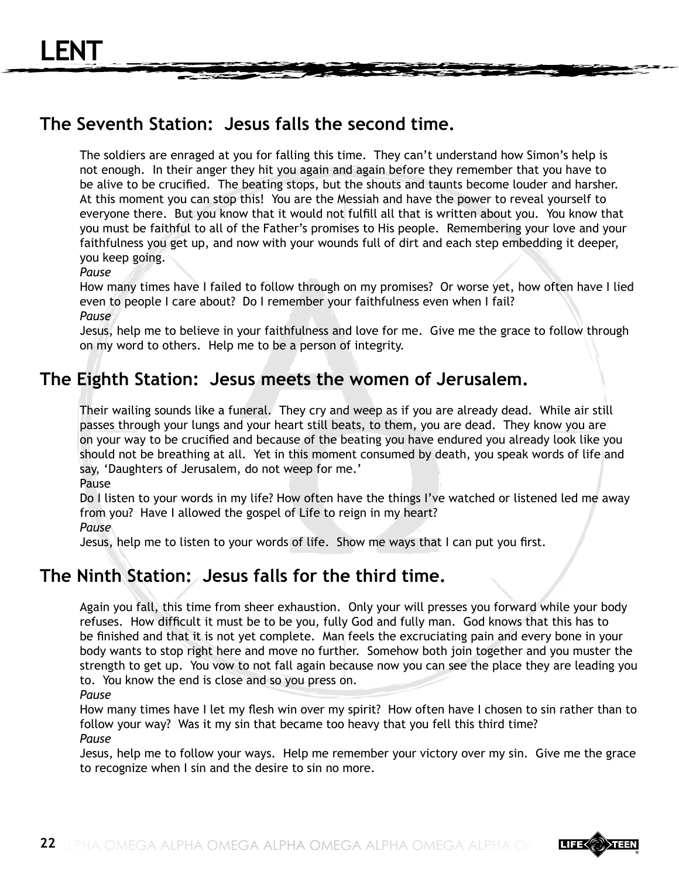# **The Seventh Station: Jesus falls the second time.**

The soldiers are enraged at you for falling this time. They can't understand how Simon's help is not enough. In their anger they hit you again and again before they remember that you have to be alive to be crucified. The beating stops, but the shouts and taunts become louder and harsher. At this moment you can stop this! You are the Messiah and have the power to reveal yourself to everyone there. But you know that it would not fulfill all that is written about you. You know that you must be faithful to all of the Father's promises to His people. Remembering your love and your faithfulness you get up, and now with your wounds full of dirt and each step embedding it deeper, you keep going.

*Pause*

How many times have I failed to follow through on my promises? Or worse yet, how often have I lied even to people I care about? Do I remember your faithfulness even when I fail? *Pause*

Jesus, help me to believe in your faithfulness and love for me. Give me the grace to follow through on my word to others. Help me to be a person of integrity.

## **The Eighth Station: Jesus meets the women of Jerusalem.**

Their wailing sounds like a funeral. They cry and weep as if you are already dead. While air still passes through your lungs and your heart still beats, to them, you are dead. They know you are on your way to be crucified and because of the beating you have endured you already look like you should not be breathing at all. Yet in this moment consumed by death, you speak words of life and say, 'Daughters of Jerusalem, do not weep for me.'

Pause

Do I listen to your words in my life? How often have the things I've watched or listened led me away from you? Have I allowed the gospel of Life to reign in my heart?

*Pause*

Jesus, help me to listen to your words of life. Show me ways that I can put you first.

#### **The Ninth Station: Jesus falls for the third time.**

Again you fall, this time from sheer exhaustion. Only your will presses you forward while your body refuses. How difficult it must be to be you, fully God and fully man. God knows that this has to be finished and that it is not yet complete. Man feels the excruciating pain and every bone in your body wants to stop right here and move no further. Somehow both join together and you muster the strength to get up. You vow to not fall again because now you can see the place they are leading you to. You know the end is close and so you press on.

*Pause* 

How many times have I let my flesh win over my spirit? How often have I chosen to sin rather than to follow your way? Was it my sin that became too heavy that you fell this third time? *Pause*

Jesus, help me to follow your ways. Help me remember your victory over my sin. Give me the grace to recognize when I sin and the desire to sin no more.

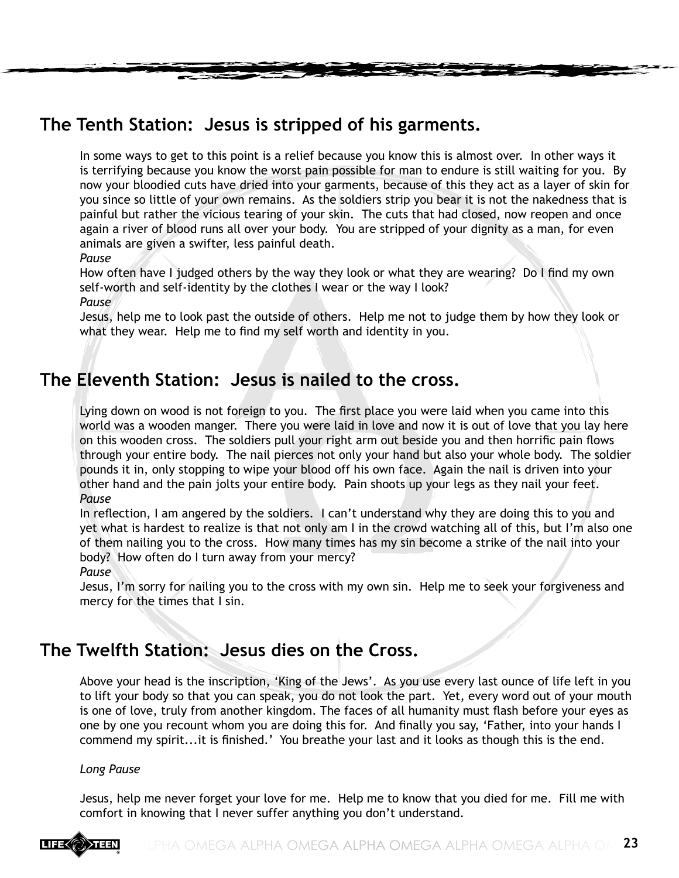# **The Tenth Station: Jesus is stripped of his garments.**

In some ways to get to this point is a relief because you know this is almost over. In other ways it is terrifying because you know the worst pain possible for man to endure is still waiting for you. By now your bloodied cuts have dried into your garments, because of this they act as a layer of skin for you since so little of your own remains. As the soldiers strip you bear it is not the nakedness that is painful but rather the vicious tearing of your skin. The cuts that had closed, now reopen and once again a river of blood runs all over your body. You are stripped of your dignity as a man, for even animals are given a swifter, less painful death.

*Pause*

How often have I judged others by the way they look or what they are wearing? Do I find my own self-worth and self-identity by the clothes I wear or the way I look?

*Pause*

Jesus, help me to look past the outside of others. Help me not to judge them by how they look or what they wear. Help me to find my self worth and identity in you.

## **The Eleventh Station: Jesus is nailed to the cross.**

Lying down on wood is not foreign to you. The first place you were laid when you came into this world was a wooden manger. There you were laid in love and now it is out of love that you lay here on this wooden cross. The soldiers pull your right arm out beside you and then horrific pain flows through your entire body. The nail pierces not only your hand but also your whole body. The soldier pounds it in, only stopping to wipe your blood off his own face. Again the nail is driven into your other hand and the pain jolts your entire body. Pain shoots up your legs as they nail your feet. *Pause*

In reflection, I am angered by the soldiers. I can't understand why they are doing this to you and yet what is hardest to realize is that not only am I in the crowd watching all of this, but I'm also one of them nailing you to the cross. How many times has my sin become a strike of the nail into your body? How often do I turn away from your mercy?

*Pause*

Jesus, I'm sorry for nailing you to the cross with my own sin. Help me to seek your forgiveness and mercy for the times that I sin.

# **The Twelfth Station: Jesus dies on the Cross.**

Above your head is the inscription, 'King of the Jews'. As you use every last ounce of life left in you to lift your body so that you can speak, you do not look the part. Yet, every word out of your mouth is one of love, truly from another kingdom. The faces of all humanity must flash before your eyes as one by one you recount whom you are doing this for. And finally you say, 'Father, into your hands I commend my spirit...it is finished.' You breathe your last and it looks as though this is the end.

#### *Long Pause*

Jesus, help me never forget your love for me. Help me to know that you died for me. Fill me with comfort in knowing that I never suffer anything you don't understand.